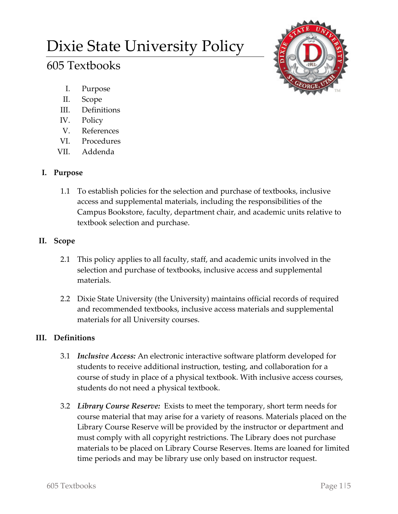# Dixie State University Policy

# 605 Textbooks

- I. Purpose
- II. Scope
- III. Definitions
- IV. Policy
- V. References
- VI. Procedures
- VII. Addenda

# **I. Purpose**

1.1 To establish policies for the selection and purchase of textbooks, inclusive access and supplemental materials, including the responsibilities of the Campus Bookstore, faculty, department chair, and academic units relative to textbook selection and purchase.

# **II. Scope**

- 2.1 This policy applies to all faculty, staff, and academic units involved in the selection and purchase of textbooks, inclusive access and supplemental materials.
- 2.2 Dixie State University (the University) maintains official records of required and recommended textbooks, inclusive access materials and supplemental materials for all University courses.

## **III. Definitions**

- 3.1 *Inclusive Access:* An electronic interactive software platform developed for students to receive additional instruction, testing, and collaboration for a course of study in place of a physical textbook. With inclusive access courses, students do not need a physical textbook.
- 3.2 *Library Course Reserve:* Exists to meet the temporary, short term needs for course material that may arise for a variety of reasons. Materials placed on the Library Course Reserve will be provided by the instructor or department and must comply with all copyright restrictions. The Library does not purchase materials to be placed on Library Course Reserves. Items are loaned for limited time periods and may be library use only based on instructor request.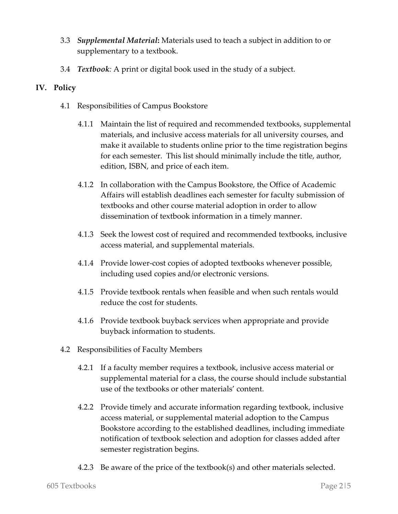- 3.3 *Supplemental Material***:** Materials used to teach a subject in addition to or supplementary to a textbook.
- 3.4 *Textbook:* A print or digital book used in the study of a subject.

### **IV. Policy**

- 4.1 Responsibilities of Campus Bookstore
	- 4.1.1 Maintain the list of required and recommended textbooks, supplemental materials, and inclusive access materials for all university courses, and make it available to students online prior to the time registration begins for each semester. This list should minimally include the title, author, edition, ISBN, and price of each item.
	- 4.1.2 In collaboration with the Campus Bookstore, the Office of Academic Affairs will establish deadlines each semester for faculty submission of textbooks and other course material adoption in order to allow dissemination of textbook information in a timely manner.
	- 4.1.3 Seek the lowest cost of required and recommended textbooks, inclusive access material, and supplemental materials.
	- 4.1.4 Provide lower-cost copies of adopted textbooks whenever possible, including used copies and/or electronic versions.
	- 4.1.5 Provide textbook rentals when feasible and when such rentals would reduce the cost for students.
	- 4.1.6 Provide textbook buyback services when appropriate and provide buyback information to students.
- 4.2 Responsibilities of Faculty Members
	- 4.2.1 If a faculty member requires a textbook, inclusive access material or supplemental material for a class, the course should include substantial use of the textbooks or other materials' content.
	- 4.2.2 Provide timely and accurate information regarding textbook, inclusive access material, or supplemental material adoption to the Campus Bookstore according to the established deadlines, including immediate notification of textbook selection and adoption for classes added after semester registration begins.
	- 4.2.3 Be aware of the price of the textbook(s) and other materials selected.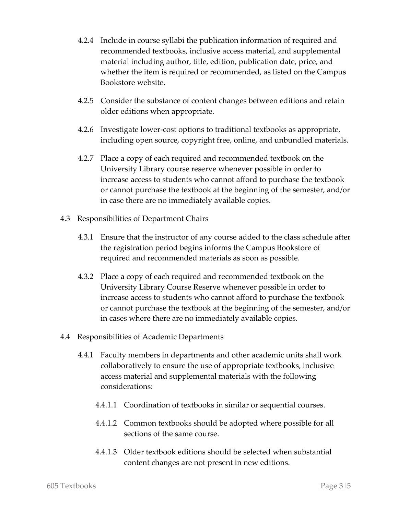- 4.2.4 Include in course syllabi the publication information of required and recommended textbooks, inclusive access material, and supplemental material including author, title, edition, publication date, price, and whether the item is required or recommended, as listed on the Campus Bookstore website.
- 4.2.5 Consider the substance of content changes between editions and retain older editions when appropriate.
- 4.2.6 Investigate lower-cost options to traditional textbooks as appropriate, including open source, copyright free, online, and unbundled materials.
- 4.2.7 Place a copy of each required and recommended textbook on the University Library course reserve whenever possible in order to increase access to students who cannot afford to purchase the textbook or cannot purchase the textbook at the beginning of the semester, and/or in case there are no immediately available copies.
- 4.3 Responsibilities of Department Chairs
	- 4.3.1 Ensure that the instructor of any course added to the class schedule after the registration period begins informs the Campus Bookstore of required and recommended materials as soon as possible.
	- 4.3.2 Place a copy of each required and recommended textbook on the University Library Course Reserve whenever possible in order to increase access to students who cannot afford to purchase the textbook or cannot purchase the textbook at the beginning of the semester, and/or in cases where there are no immediately available copies.
- 4.4 Responsibilities of Academic Departments
	- 4.4.1 Faculty members in departments and other academic units shall work collaboratively to ensure the use of appropriate textbooks, inclusive access material and supplemental materials with the following considerations:
		- 4.4.1.1 Coordination of textbooks in similar or sequential courses.
		- 4.4.1.2 Common textbooks should be adopted where possible for all sections of the same course.
		- 4.4.1.3 Older textbook editions should be selected when substantial content changes are not present in new editions.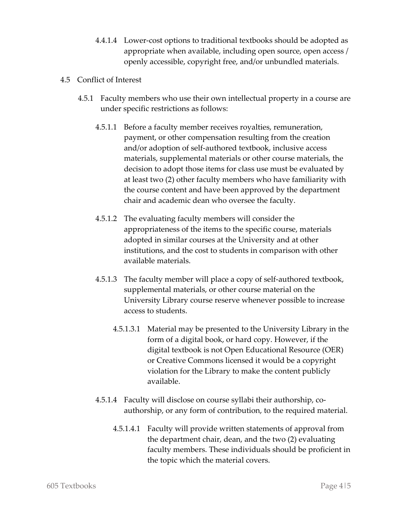- 4.4.1.4 Lower-cost options to traditional textbooks should be adopted as appropriate when available, including open source, open access / openly accessible, copyright free, and/or unbundled materials.
- 4.5 Conflict of Interest
	- 4.5.1 Faculty members who use their own intellectual property in a course are under specific restrictions as follows:
		- 4.5.1.1 Before a faculty member receives royalties, remuneration, payment, or other compensation resulting from the creation and/or adoption of self-authored textbook, inclusive access materials, supplemental materials or other course materials, the decision to adopt those items for class use must be evaluated by at least two (2) other faculty members who have familiarity with the course content and have been approved by the department chair and academic dean who oversee the faculty.
		- 4.5.1.2 The evaluating faculty members will consider the appropriateness of the items to the specific course, materials adopted in similar courses at the University and at other institutions, and the cost to students in comparison with other available materials.
		- 4.5.1.3 The faculty member will place a copy of self-authored textbook, supplemental materials, or other course material on the University Library course reserve whenever possible to increase access to students.
			- 4.5.1.3.1 Material may be presented to the University Library in the form of a digital book, or hard copy. However, if the digital textbook is not Open Educational Resource (OER) or Creative Commons licensed it would be a copyright violation for the Library to make the content publicly available.
		- 4.5.1.4 Faculty will disclose on course syllabi their authorship, coauthorship, or any form of contribution, to the required material.
			- 4.5.1.4.1 Faculty will provide written statements of approval from the department chair, dean, and the two (2) evaluating faculty members. These individuals should be proficient in the topic which the material covers.